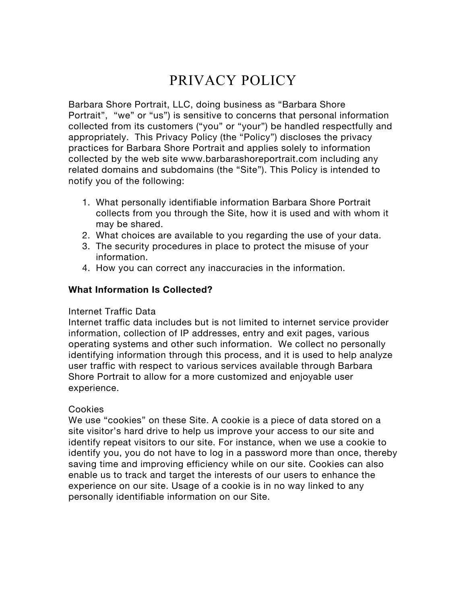# PRIVACY POLICY

Barbara Shore Portrait, LLC, doing business as "Barbara Shore Portrait", "we" or "us") is sensitive to concerns that personal information collected from its customers ("you" or "your") be handled respectfully and appropriately. This Privacy Policy (the "Policy") discloses the privacy practices for Barbara Shore Portrait and applies solely to information collected by the web site www.barbarashoreportrait.com including any related domains and subdomains (the "Site"). This Policy is intended to notify you of the following:

- 1. What personally identifiable information Barbara Shore Portrait collects from you through the Site, how it is used and with whom it may be shared.
- 2. What choices are available to you regarding the use of your data.
- 3. The security procedures in place to protect the misuse of your information.
- 4. How you can correct any inaccuracies in the information.

## **What Information Is Collected?**

#### Internet Traffic Data

Internet traffic data includes but is not limited to internet service provider information, collection of IP addresses, entry and exit pages, various operating systems and other such information. We collect no personally identifying information through this process, and it is used to help analyze user traffic with respect to various services available through Barbara Shore Portrait to allow for a more customized and enjoyable user experience.

#### Cookies

We use "cookies" on these Site. A cookie is a piece of data stored on a site visitor's hard drive to help us improve your access to our site and identify repeat visitors to our site. For instance, when we use a cookie to identify you, you do not have to log in a password more than once, thereby saving time and improving efficiency while on our site. Cookies can also enable us to track and target the interests of our users to enhance the experience on our site. Usage of a cookie is in no way linked to any personally identifiable information on our Site.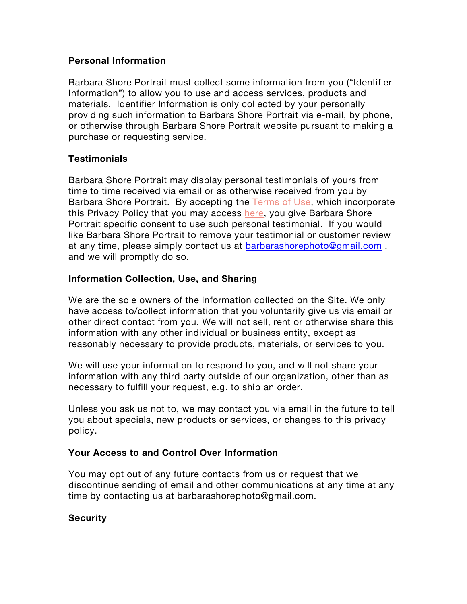### **Personal Information**

Barbara Shore Portrait must collect some information from you ("Identifier Information") to allow you to use and access services, products and materials. Identifier Information is only collected by your personally providing such information to Barbara Shore Portrait via e-mail, by phone, or otherwise through Barbara Shore Portrait website pursuant to making a purchase or requesting service.

## **Testimonials**

Barbara Shore Portrait may display personal testimonials of yours from time to time received via email or as otherwise received from you by Barbara Shore Portrait. By accepting the Terms of Use, which incorporate this Privacy Policy that you may access here, you give Barbara Shore Portrait specific consent to use such personal testimonial. If you would like Barbara Shore Portrait to remove your testimonial or customer review at any time, please simply contact us at barbarashorephoto@gmail.com , and we will promptly do so.

#### **Information Collection, Use, and Sharing**

We are the sole owners of the information collected on the Site. We only have access to/collect information that you voluntarily give us via email or other direct contact from you. We will not sell, rent or otherwise share this information with any other individual or business entity, except as reasonably necessary to provide products, materials, or services to you.

We will use your information to respond to you, and will not share your information with any third party outside of our organization, other than as necessary to fulfill your request, e.g. to ship an order.

Unless you ask us not to, we may contact you via email in the future to tell you about specials, new products or services, or changes to this privacy policy.

## **Your Access to and Control Over Information**

You may opt out of any future contacts from us or request that we discontinue sending of email and other communications at any time at any time by contacting us at barbarashorephoto@gmail.com.

## **Security**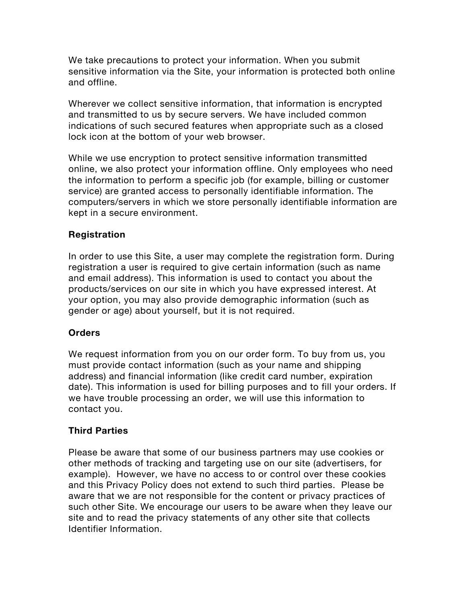We take precautions to protect your information. When you submit sensitive information via the Site, your information is protected both online and offline.

Wherever we collect sensitive information, that information is encrypted and transmitted to us by secure servers. We have included common indications of such secured features when appropriate such as a closed lock icon at the bottom of your web browser.

While we use encryption to protect sensitive information transmitted online, we also protect your information offline. Only employees who need the information to perform a specific job (for example, billing or customer service) are granted access to personally identifiable information. The computers/servers in which we store personally identifiable information are kept in a secure environment.

## **Registration**

In order to use this Site, a user may complete the registration form. During registration a user is required to give certain information (such as name and email address). This information is used to contact you about the products/services on our site in which you have expressed interest. At your option, you may also provide demographic information (such as gender or age) about yourself, but it is not required.

## **Orders**

We request information from you on our order form. To buy from us, you must provide contact information (such as your name and shipping address) and financial information (like credit card number, expiration date). This information is used for billing purposes and to fill your orders. If we have trouble processing an order, we will use this information to contact you.

## **Third Parties**

Please be aware that some of our business partners may use cookies or other methods of tracking and targeting use on our site (advertisers, for example). However, we have no access to or control over these cookies and this Privacy Policy does not extend to such third parties. Please be aware that we are not responsible for the content or privacy practices of such other Site. We encourage our users to be aware when they leave our site and to read the privacy statements of any other site that collects Identifier Information.